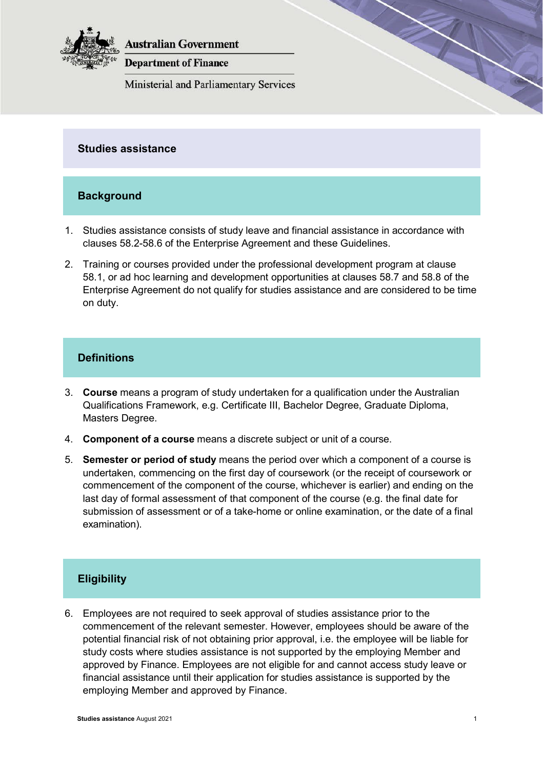

**Australian Government** 

**Department of Finance** 

**Ministerial and Parliamentary Services** 

## **Studies assistance**

## **Background**

- 1. Studies assistance consists of study leave and financial assistance in accordance with clauses 58.2-58.6 of the Enterprise Agreement and these Guidelines.
- 2. Training or courses provided under the professional development program at clause 58.1, or ad hoc learning and development opportunities at clauses 58.7 and 58.8 of the Enterprise Agreement do not qualify for studies assistance and are considered to be time on duty.

## **Definitions**

- 3. **Course** means a program of study undertaken for a qualification under the Australian Qualifications Framework, e.g. Certificate III, Bachelor Degree, Graduate Diploma, Masters Degree.
- 4. **Component of a course** means a discrete subject or unit of a course.
- 5. **Semester or period of study** means the period over which a component of a course is undertaken, commencing on the first day of coursework (or the receipt of coursework or commencement of the component of the course, whichever is earlier) and ending on the last day of formal assessment of that component of the course (e.g. the final date for submission of assessment or of a take-home or online examination, or the date of a final examination).

# **Eligibility**

6. Employees are not required to seek approval of studies assistance prior to the commencement of the relevant semester. However, employees should be aware of the potential financial risk of not obtaining prior approval, i.e. the employee will be liable for study costs where studies assistance is not supported by the employing Member and approved by Finance. Employees are not eligible for and cannot access study leave or financial assistance until their application for studies assistance is supported by the employing Member and approved by Finance.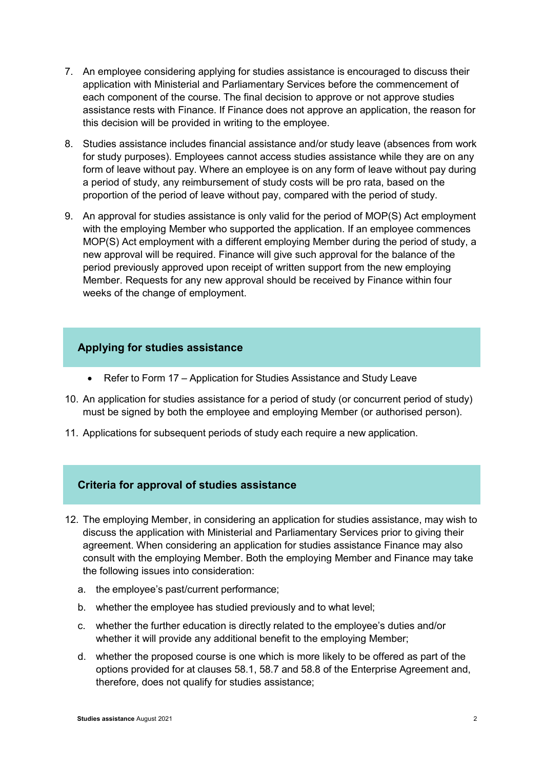- 7. An employee considering applying for studies assistance is encouraged to discuss their application with Ministerial and Parliamentary Services before the commencement of each component of the course. The final decision to approve or not approve studies assistance rests with Finance. If Finance does not approve an application, the reason for this decision will be provided in writing to the employee.
- 8. Studies assistance includes financial assistance and/or study leave (absences from work for study purposes). Employees cannot access studies assistance while they are on any form of leave without pay. Where an employee is on any form of leave without pay during a period of study, any reimbursement of study costs will be pro rata, based on the proportion of the period of leave without pay, compared with the period of study.
- 9. An approval for studies assistance is only valid for the period of MOP(S) Act employment with the employing Member who supported the application. If an employee commences MOP(S) Act employment with a different employing Member during the period of study, a new approval will be required. Finance will give such approval for the balance of the period previously approved upon receipt of written support from the new employing Member. Requests for any new approval should be received by Finance within four weeks of the change of employment.

#### **Applying for studies assistance**

- Refer to Form 17 Application for Studies Assistance and Study Leave
- 10. An application for studies assistance for a period of study (or concurrent period of study) must be signed by both the employee and employing Member (or authorised person).
- 11. Applications for subsequent periods of study each require a new application.

#### **Criteria for approval of studies assistance**

- 12. The employing Member, in considering an application for studies assistance, may wish to discuss the application with Ministerial and Parliamentary Services prior to giving their agreement. When considering an application for studies assistance Finance may also consult with the employing Member. Both the employing Member and Finance may take the following issues into consideration:
	- a. the employee's past/current performance;
	- b. whether the employee has studied previously and to what level;
	- c. whether the further education is directly related to the employee's duties and/or whether it will provide any additional benefit to the employing Member;
	- d. whether the proposed course is one which is more likely to be offered as part of the options provided for at clauses 58.1, 58.7 and 58.8 of the Enterprise Agreement and, therefore, does not qualify for studies assistance;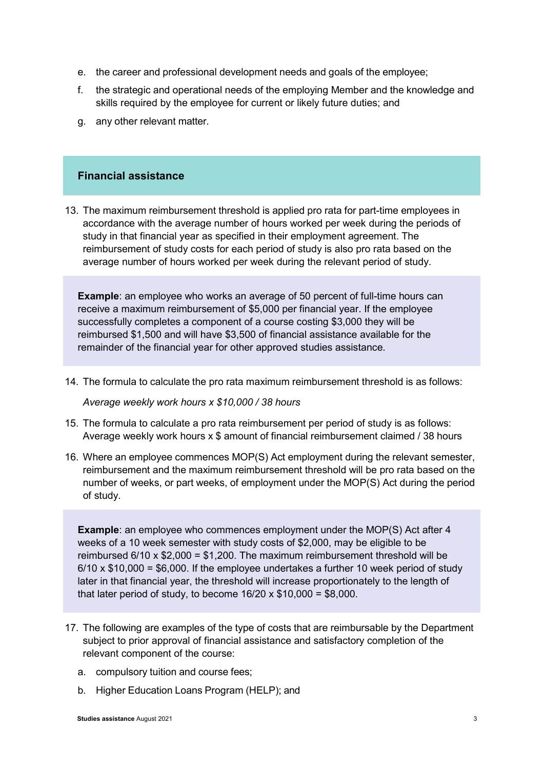- e. the career and professional development needs and goals of the employee;
- f. the strategic and operational needs of the employing Member and the knowledge and skills required by the employee for current or likely future duties; and
- g. any other relevant matter.

### **Financial assistance**

13. The maximum reimbursement threshold is applied pro rata for part-time employees in accordance with the average number of hours worked per week during the periods of study in that financial year as specified in their employment agreement. The reimbursement of study costs for each period of study is also pro rata based on the average number of hours worked per week during the relevant period of study.

**Example**: an employee who works an average of 50 percent of full-time hours can receive a maximum reimbursement of \$5,000 per financial year. If the employee successfully completes a component of a course costing \$3,000 they will be reimbursed \$1,500 and will have \$3,500 of financial assistance available for the remainder of the financial year for other approved studies assistance.

14. The formula to calculate the pro rata maximum reimbursement threshold is as follows:

*Average weekly work hours x \$10,000 / 38 hours*

- 15. The formula to calculate a pro rata reimbursement per period of study is as follows: Average weekly work hours x \$ amount of financial reimbursement claimed / 38 hours
- 16. Where an employee commences MOP(S) Act employment during the relevant semester, reimbursement and the maximum reimbursement threshold will be pro rata based on the number of weeks, or part weeks, of employment under the MOP(S) Act during the period of study.

**Example**: an employee who commences employment under the MOP(S) Act after 4 weeks of a 10 week semester with study costs of \$2,000, may be eligible to be reimbursed 6/10 x \$2,000 = \$1,200. The maximum reimbursement threshold will be 6/10 x \$10,000 = \$6,000. If the employee undertakes a further 10 week period of study later in that financial year, the threshold will increase proportionately to the length of that later period of study, to become  $16/20 \times $10,000 = $8,000$ .

- 17. The following are examples of the type of costs that are reimbursable by the Department subject to prior approval of financial assistance and satisfactory completion of the relevant component of the course:
	- a. compulsory tuition and course fees;
	- b. Higher Education Loans Program (HELP); and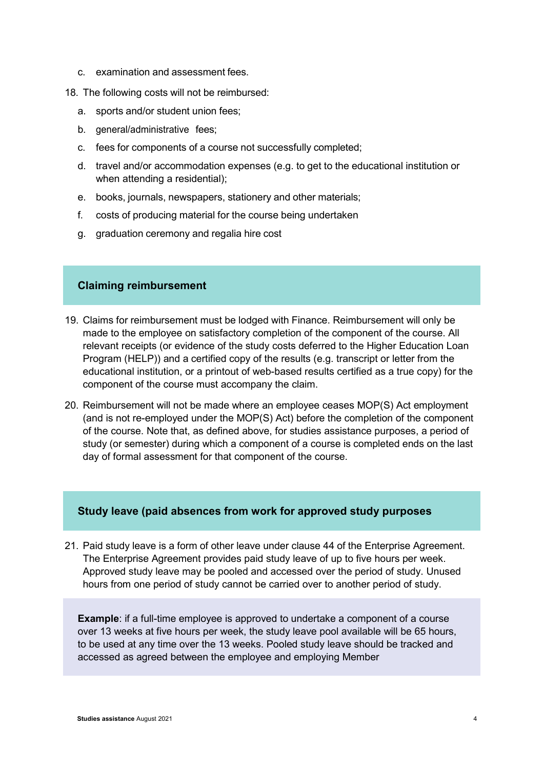c. examination and assessment fees.

18. The following costs will not be reimbursed:

- a. sports and/or student union fees;
- b. general/administrative fees;
- c. fees for components of a course not successfully completed;
- d. travel and/or accommodation expenses (e.g. to get to the educational institution or when attending a residential);
- e. books, journals, newspapers, stationery and other materials;
- f. costs of producing material for the course being undertaken
- g. graduation ceremony and regalia hire cost

#### **Claiming reimbursement**

- 19. Claims for reimbursement must be lodged with Finance. Reimbursement will only be made to the employee on satisfactory completion of the component of the course. All relevant receipts (or evidence of the study costs deferred to the Higher Education Loan Program (HELP)) and a certified copy of the results (e.g. transcript or letter from the educational institution, or a printout of web-based results certified as a true copy) for the component of the course must accompany the claim.
- 20. Reimbursement will not be made where an employee ceases MOP(S) Act employment (and is not re-employed under the MOP(S) Act) before the completion of the component of the course. Note that, as defined above, for studies assistance purposes, a period of study (or semester) during which a component of a course is completed ends on the last day of formal assessment for that component of the course.

#### **Study leave (paid absences from work for approved study purposes**

21. Paid study leave is a form of other leave under clause 44 of the Enterprise Agreement. The Enterprise Agreement provides paid study leave of up to five hours per week. Approved study leave may be pooled and accessed over the period of study. Unused hours from one period of study cannot be carried over to another period of study.

**Example**: if a full-time employee is approved to undertake a component of a course over 13 weeks at five hours per week, the study leave pool available will be 65 hours, to be used at any time over the 13 weeks. Pooled study leave should be tracked and accessed as agreed between the employee and employing Member